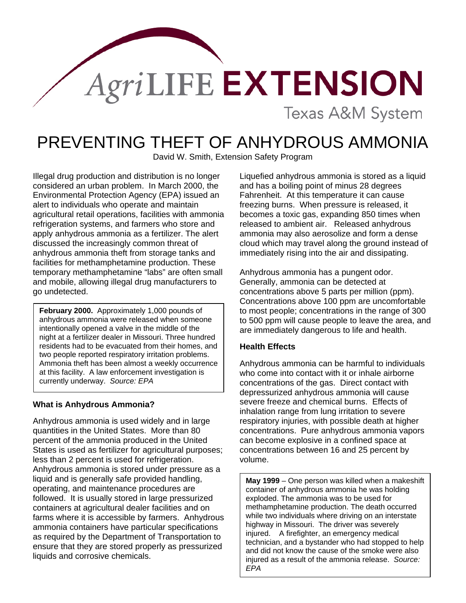# AgriLIFE EXTENSION **Texas A&M System**

# PREVENTING THEFT OF ANHYDROUS AMMONIA

David W. Smith, Extension Safety Program

Illegal drug production and distribution is no longer considered an urban problem. In March 2000, the Environmental Protection Agency (EPA) issued an alert to individuals who operate and maintain agricultural retail operations, facilities with ammonia refrigeration systems, and farmers who store and apply anhydrous ammonia as a fertilizer. The alert discussed the increasingly common threat of anhydrous ammonia theft from storage tanks and facilities for methamphetamine production. These temporary methamphetamine "labs" are often small and mobile, allowing illegal drug manufacturers to go undetected.

**February 2000.** Approximately 1,000 pounds of anhydrous ammonia were released when someone intentionally opened a valve in the middle of the night at a fertilizer dealer in Missouri. Three hundred residents had to be evacuated from their homes, and two people reported respiratory irritation problems. Ammonia theft has been almost a weekly occurrence at this facility. A law enforcement investigation is currently underway. *Source: EPA*

## **What is Anhydrous Ammonia?**

I

Anhydrous ammonia is used widely and in large quantities in the United States. More than 80 percent of the ammonia produced in the United States is used as fertilizer for agricultural purposes; less than 2 percent is used for refrigeration. Anhydrous ammonia is stored under pressure as a liquid and is generally safe provided handling, operating, and maintenance procedures are followed. It is usually stored in large pressurized containers at agricultural dealer facilities and on farms where it is accessible by farmers. Anhydrous ammonia containers have particular specifications as required by the Department of Transportation to ensure that they are stored properly as pressurized liquids and corrosive chemicals.

Liquefied anhydrous ammonia is stored as a liquid and has a boiling point of minus 28 degrees Fahrenheit. At this temperature it can cause freezing burns. When pressure is released, it becomes a toxic gas, expanding 850 times when released to ambient air. Released anhydrous ammonia may also aerosolize and form a dense cloud which may travel along the ground instead of immediately rising into the air and dissipating.

Anhydrous ammonia has a pungent odor. Generally, ammonia can be detected at concentrations above 5 parts per million (ppm). Concentrations above 100 ppm are uncomfortable to most people; concentrations in the range of 300 to 500 ppm will cause people to leave the area, and are immediately dangerous to life and health.

## **Health Effects**

Anhydrous ammonia can be harmful to individuals who come into contact with it or inhale airborne concentrations of the gas. Direct contact with depressurized anhydrous ammonia will cause severe freeze and chemical burns. Effects of inhalation range from lung irritation to severe respiratory injuries, with possible death at higher concentrations. Pure anhydrous ammonia vapors can become explosive in a confined space at concentrations between 16 and 25 percent by volume.

**May 1999** – One person was killed when a makeshift container of anhydrous ammonia he was holding exploded. The ammonia was to be used for methamphetamine production. The death occurred while two individuals where driving on an interstate highway in Missouri. The driver was severely injured. A firefighter, an emergency medical technician, and a bystander who had stopped to help and did not know the cause of the smoke were also injured as a result of the ammonia release. *Source: EPA*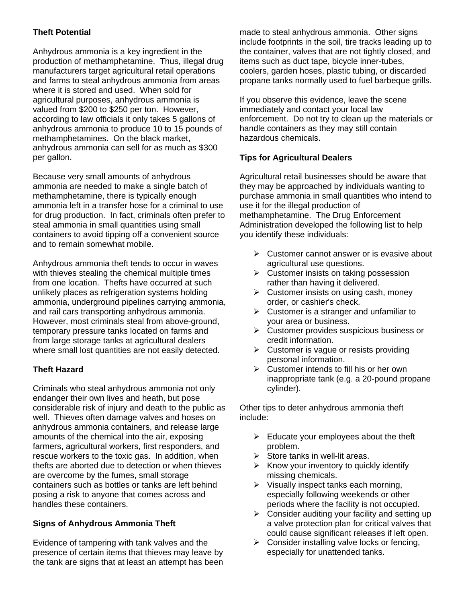## **Theft Potential**

Anhydrous ammonia is a key ingredient in the production of methamphetamine. Thus, illegal drug manufacturers target agricultural retail operations and farms to steal anhydrous ammonia from areas where it is stored and used. When sold for agricultural purposes, anhydrous ammonia is valued from \$200 to \$250 per ton. However, according to law officials it only takes 5 gallons of anhydrous ammonia to produce 10 to 15 pounds of methamphetamines. On the black market, anhydrous ammonia can sell for as much as \$300 per gallon.

Because very small amounts of anhydrous ammonia are needed to make a single batch of methamphetamine, there is typically enough ammonia left in a transfer hose for a criminal to use for drug production. In fact, criminals often prefer to steal ammonia in small quantities using small containers to avoid tipping off a convenient source and to remain somewhat mobile.

Anhydrous ammonia theft tends to occur in waves with thieves stealing the chemical multiple times from one location. Thefts have occurred at such unlikely places as refrigeration systems holding ammonia, underground pipelines carrying ammonia, and rail cars transporting anhydrous ammonia. However, most criminals steal from above-ground, temporary pressure tanks located on farms and from large storage tanks at agricultural dealers where small lost quantities are not easily detected.

## **Theft Hazard**

Criminals who steal anhydrous ammonia not only endanger their own lives and heath, but pose considerable risk of injury and death to the public as well. Thieves often damage valves and hoses on anhydrous ammonia containers, and release large amounts of the chemical into the air, exposing farmers, agricultural workers, first responders, and rescue workers to the toxic gas. In addition, when thefts are aborted due to detection or when thieves are overcome by the fumes, small storage containers such as bottles or tanks are left behind posing a risk to anyone that comes across and handles these containers.

## **Signs of Anhydrous Ammonia Theft**

Evidence of tampering with tank valves and the presence of certain items that thieves may leave by the tank are signs that at least an attempt has been made to steal anhydrous ammonia. Other signs include footprints in the soil, tire tracks leading up to the container, valves that are not tightly closed, and items such as duct tape, bicycle inner-tubes, coolers, garden hoses, plastic tubing, or discarded propane tanks normally used to fuel barbeque grills.

If you observe this evidence, leave the scene immediately and contact your local law enforcement. Do not try to clean up the materials or handle containers as they may still contain hazardous chemicals.

## **Tips for Agricultural Dealers**

Agricultural retail businesses should be aware that they may be approached by individuals wanting to purchase ammonia in small quantities who intend to use it for the illegal production of methamphetamine. The Drug Enforcement Administration developed the following list to help you identify these individuals:

- $\triangleright$  Customer cannot answer or is evasive about agricultural use questions.
- $\triangleright$  Customer insists on taking possession rather than having it delivered.
- $\triangleright$  Customer insists on using cash, money order, or cashier's check.
- $\triangleright$  Customer is a stranger and unfamiliar to your area or business.
- $\triangleright$  Customer provides suspicious business or credit information.
- $\triangleright$  Customer is vague or resists providing personal information.
- $\triangleright$  Customer intends to fill his or her own inappropriate tank (e.g. a 20-pound propane cylinder).

Other tips to deter anhydrous ammonia theft include:

- $\triangleright$  Educate your employees about the theft problem.
- $\triangleright$  Store tanks in well-lit areas.
- $\triangleright$  Know your inventory to quickly identify missing chemicals.
- $\triangleright$  Visually inspect tanks each morning, especially following weekends or other periods where the facility is not occupied.
- $\triangleright$  Consider auditing your facility and setting up a valve protection plan for critical valves that could cause significant releases if left open.
- $\triangleright$  Consider installing valve locks or fencing, especially for unattended tanks.